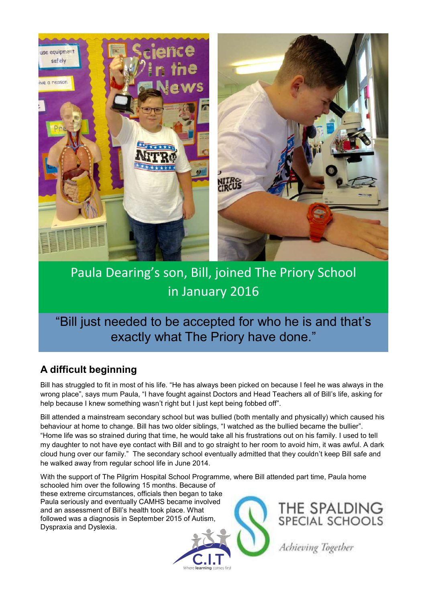

# Paula Dearing's son, Bill, joined The Priory School in January 2016

"Bill just needed to be accepted for who he is and that's exactly what The Priory have done."

## **A difficult beginning**

Bill has struggled to fit in most of his life. "He has always been picked on because I feel he was always in the wrong place", says mum Paula, "I have fought against Doctors and Head Teachers all of Bill's life, asking for help because I knew something wasn't right but I just kept being fobbed off".

Bill attended a mainstream secondary school but was bullied (both mentally and physically) which caused his behaviour at home to change. Bill has two older siblings, "I watched as the bullied became the bullier". "Home life was so strained during that time, he would take all his frustrations out on his family. I used to tell my daughter to not have eye contact with Bill and to go straight to her room to avoid him, it was awful. A dark cloud hung over our family." The secondary school eventually admitted that they couldn't keep Bill safe and he walked away from regular school life in June 2014.

With the support of The Pilgrim Hospital School Programme, where Bill attended part time, Paula home

schooled him over the following 15 months. Because of these extreme circumstances, officials then began to take Paula seriously and eventually CAMHS became involved and an assessment of Bill's health took place. What followed was a diagnosis in September 2015 of Autism, Dyspraxia and Dyslexia.





Achieving Together